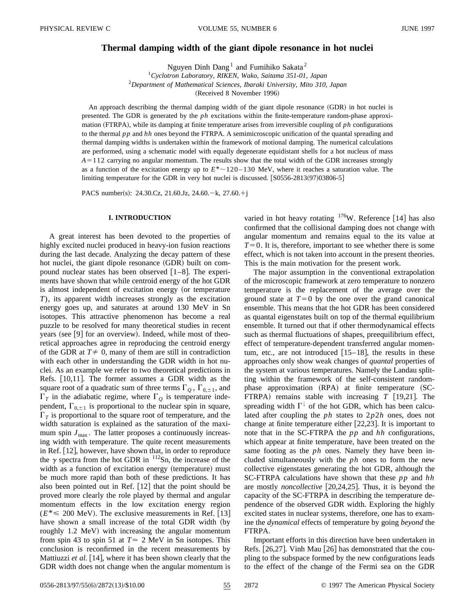# **Thermal damping width of the giant dipole resonance in hot nuclei**

Nguyen Dinh Dang<sup>1</sup> and Fumihiko Sakata<sup>2</sup>

<sup>1</sup>*Cyclotron Laboratory, RIKEN, Wako, Saitama 351-01, Japan* <sup>2</sup>*Department of Mathematical Sciences, Ibaraki University, Mito 310, Japan* (Received 8 November 1996)

An approach describing the thermal damping width of the giant dipole resonance (GDR) in hot nuclei is presented. The GDR is generated by the *ph* excitations within the finite-temperature random-phase approximation  $(FTRPA)$ , while its damping at finite temperature arises from irreversible coupling of *ph* configurations to the thermal *pp* and *hh* ones beyond the FTRPA. A semimicroscopic unification of the quantal spreading and thermal damping widths is undertaken within the framework of motional damping. The numerical calculations are performed, using a schematic model with equally degenerate equidistant shells for a hot nucleus of mass  $A=112$  carrying no angular momentum. The results show that the total width of the GDR increases strongly as a function of the excitation energy up to  $E^* \sim 120 - 130$  MeV, where it reaches a saturation value. The limiting temperature for the GDR in very hot nuclei is discussed.  $[$ S0556-2813(97)03806-5 $]$ 

PACS number(s): 24.30.Cz, 21.60.Jz, 24.60. $-k$ , 27.60. $+j$ 

### **I. INTRODUCTION**

A great interest has been devoted to the properties of highly excited nuclei produced in heavy-ion fusion reactions during the last decade. Analyzing the decay pattern of these hot nuclei, the giant dipole resonance (GDR) built on compound nuclear states has been observed  $[1-8]$ . The experiments have shown that while centroid energy of the hot GDR is almost independent of excitation energy (or temperature *T*), its apparent width increases strongly as the excitation energy goes up, and saturates at around 130 MeV in Sn isotopes. This attractive phenomenon has become a real puzzle to be resolved for many theoretical studies in recent years (see  $[9]$  for an overview). Indeed, while most of theoretical approaches agree in reproducing the centroid energy of the GDR at  $T \neq 0$ , many of them are still in contradiction with each other in understanding the GDR width in hot nuclei. As an example we refer to two theoretical predictions in Refs.  $[10,11]$ . The former assumes a GDR width as the square root of a quadratic sum of three terms  $\Gamma$ <sub>0</sub>,  $\Gamma$ <sub>0. $\pm$ 1</sub>, and  $\Gamma_T$  in the adiabatic regime, where  $\Gamma_Q$  is temperature independent,  $\Gamma_{0,\pm 1}$  is proportional to the nuclear spin in square,  $\Gamma<sub>T</sub>$  is proportional to the square root of temperature, and the width saturation is explained as the saturation of the maximum spin  $J_{\text{max}}$ . The latter proposes a continuously increasing width with temperature. The quite recent measurements in Ref.  $[12]$ , however, have shown that, in order to reproduce the  $\gamma$  spectra from the hot GDR in  $^{112}Sn$ , the increase of the width as a function of excitation energy (temperature) must be much more rapid than both of these predictions. It has also been pointed out in Ref.  $[12]$  that the point should be proved more clearly the role played by thermal and angular momentum effects in the low excitation energy region  $(E^* \le 200 \text{ MeV})$ . The exclusive measurements in Ref. [13] have shown a small increase of the total GDR width (by roughly  $1.2 \text{ MeV}$  with increasing the angular momentum from spin 43 to spin 51 at  $T \approx 2$  MeV in Sn isotopes. This conclusion is reconfirmed in the recent measurements by Mattiuzzi *et al.* [14], where it has been shown clearly that the GDR width does not change when the angular momentum is varied in hot heavy rotating  $176W$ . Reference [14] has also confirmed that the collisional damping does not change with angular momentum and remains equal to the its value at  $T=0$ . It is, therefore, important to see whether there is some effect, which is not taken into account in the present theories. This is the main motivation for the present work.

The major assumption in the conventional extrapolation of the microscopic framework at zero temperature to nonzero temperature is the replacement of the average over the ground state at  $T=0$  by the one over the grand canonical ensemble. This means that the hot GDR has been considered as quantal eigenstates built on top of the thermal equilibrium ensemble. It turned out that if other thermodynamical effects such as thermal fluctuations of shapes, preequilibrium effect, effect of temperature-dependent transferred angular momentum, etc., are not introduced  $[15-18]$ , the results in these approaches only show weak changes of *quantal* properties of the system at various temperatures. Namely the Landau splitting within the framework of the self-consistent randomphase approximation (RPA) at finite temperature (SC-FTRPA) remains stable with increasing  $T$  [19,21]. The spreading width  $\Gamma^{\downarrow}$  of the hot GDR, which has been calculated after coupling the *ph* states to 2*p*2*h* ones, does not change at finite temperature either  $[22,23]$ . It is important to note that in the SC-FTRPA the *pp* and *hh* configurations, which appear at finite temperature, have been treated on the same footing as the *ph* ones. Namely they have been included simultaneously with the *ph* ones to form the new collective eigenstates generating the hot GDR, although the SC-FTRPA calculations have shown that these *pp* and *hh* are mostly *noncollective* [20,24,25]. Thus, it is beyond the capacity of the SC-FTRPA in describing the temperature dependence of the observed GDR width. Exploring the highly excited states in nuclear systems, therefore, one has to examine the *dynamical* effects of temperature by going *beyond* the FTRPA.

Important efforts in this direction have been undertaken in Refs.  $[26,27]$ . Vinh Mau  $[26]$  has demonstrated that the coupling to the subspace formed by the new configurations leads to the effect of the change of the Fermi sea on the GDR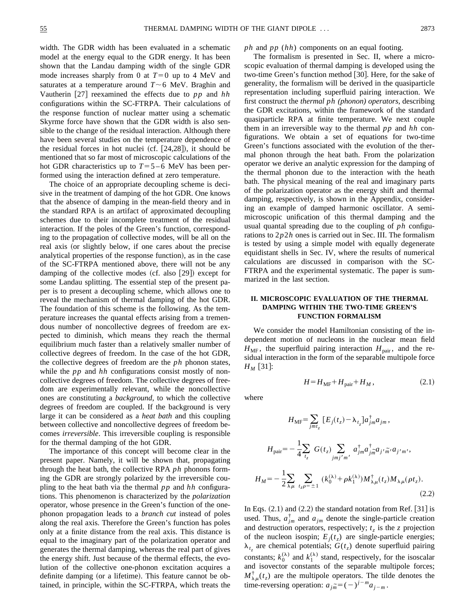width. The GDR width has been evaluated in a schematic model at the energy equal to the GDR energy. It has been shown that the Landau damping width of the single GDR mode increases sharply from 0 at  $T=0$  up to 4 MeV and saturates at a temperature around  $T \sim 6$  MeV. Braghin and Vautherin [27] reexamined the effects due to *pp* and *hh* configurations within the SC-FTRPA. Their calculations of the response function of nuclear matter using a schematic Skyrme force have shown that the GDR width is also sensible to the change of the residual interaction. Although there have been several studies on the temperature dependence of the residual forces in hot nuclei (cf.  $[24,28]$ ), it should be mentioned that so far most of microscopic calculations of the hot GDR characteristics up to  $T=5-6$  MeV has been performed using the interaction defined at zero temperature.

The choice of an appropriate decoupling scheme is decisive in the treatment of damping of the hot GDR. One knows that the absence of damping in the mean-field theory and in the standard RPA is an artifact of approximated decoupling schemes due to their incomplete treatment of the residual interaction. If the poles of the Green's function, corresponding to the propagation of collective modes, will be all on the real axis (or slightly below, if one cares about the precise analytical properties of the response function), as in the case of the SC-FTRPA mentioned above, there will not be any damping of the collective modes (cf. also  $[29]$ ) except for some Landau splitting. The essential step of the present paper is to present a decoupling scheme, which allows one to reveal the mechanism of thermal damping of the hot GDR. The foundation of this scheme is the following. As the temperature increases the quantal effects arising from a tremendous number of noncollective degrees of freedom are expected to diminish, which means they reach the thermal equilibrium much faster than a relatively smaller number of collective degrees of freedom. In the case of the hot GDR, the collective degrees of freedom are the *ph* phonon states, while the *pp* and *hh* configurations consist mostly of noncollective degrees of freedom. The collective degrees of freedom are experimentally relevant, while the noncollective ones are constituting a *background*, to which the collective degrees of freedom are coupled. If the background is very large it can be considered as a *heat bath* and this coupling between collective and noncollective degrees of freedom becomes *irreversible*. This irreversible coupling is responsible for the thermal damping of the hot GDR.

The importance of this concept will become clear in the present paper. Namely, it will be shown that, propagating through the heat bath, the collective RPA *ph* phonons forming the GDR are strongly polarized by the irreversible coupling to the heat bath via the thermal *p p* and *hh* configurations. This phenomenon is characterized by the *polarization* operator, whose presence in the Green's function of the onephonon propagation leads to a *branch cut* instead of poles along the real axis. Therefore the Green's function has poles only at a finite distance from the real axis. This distance is equal to the imaginary part of the polarization operator and generates the thermal damping, whereas the real part of gives the energy shift. Just because of the thermal effects, the evolution of the collective one-phonon excitation acquires a definite damping (or a lifetime). This feature cannot be obtained, in principle, within the SC-FTRPA, which treats the

#### *ph* and *pp* (*hh*) components on an equal footing.

The formalism is presented in Sec. II, where a microscopic evaluation of thermal damping is developed using the two-time Green's function method [30]. Here, for the sake of generality, the formalism will be derived in the quasiparticle representation including superfluid pairing interaction. We first construct the *thermal ph (phonon) operators*, describing the GDR excitations, within the framework of the standard quasiparticle RPA at finite temperature. We next couple them in an irreversible way to the thermal *pp* and *hh* configurations. We obtain a set of equations for two-time Green's functions associated with the evolution of the thermal phonon through the heat bath. From the polarization operator we derive an analytic expression for the damping of the thermal phonon due to the interaction with the heath bath. The physical meaning of the real and imaginary parts of the polarization operator as the energy shift and thermal damping, respectively, is shown in the Appendix, considering an example of damped harmonic oscillator. A semimicroscopic unification of this thermal damping and the usual quantal spreading due to the coupling of *ph* configurations to 2*p*2*h* ones is carried out in Sec. III. The formalism is tested by using a simple model with equally degenerate equidistant shells in Sec. IV, where the results of numerical calculations are discussed in comparison with the SC-FTRPA and the experimental systematic. The paper is summarized in the last section.

## **II. MICROSCOPIC EVALUATION OF THE THERMAL DAMPING WITHIN THE TWO-TIME GREEN'S FUNCTION FORMALISM**

We consider the model Hamiltonian consisting of the independent motion of nucleons in the nuclear mean field  $H_{\text{MF}}$ , the superfluid pairing interaction  $H_{\text{pair}}$ , and the residual interaction in the form of the separable multipole force  $H_M$  [31]:

 $H = H_{\text{MF}} + H_{\text{pair}} + H_M,$  (2.1)

where

$$
H_{\text{MF}} = \sum_{jmt_z} [E_j(t_z) - \lambda_{t_z}] a_{jm}^{\dagger} a_{jm},
$$
  
\n
$$
H_{\text{pair}} = -\frac{1}{4} \sum_{t_z} G(t_z) \sum_{jmj'm'} a_{jm}^{\dagger} a_{jm}^{\dagger} a_{j'm'} a_{j'm'},
$$
  
\n
$$
H_M = -\frac{1}{2} \sum_{\lambda \mu} \sum_{t_z \rho = \pm 1} (k_0^{(\lambda)} + \rho k_1^{(\lambda)}) M_{\lambda \mu}^{\dagger} (t_z) M_{\lambda \mu} (\rho t_z).
$$
\n(2.2)

In Eqs.  $(2.1)$  and  $(2.2)$  the standard notation from Ref. [31] is used. Thus,  $a_{jm}^{\dagger}$  and  $a_{jm}$  denote the single-particle creation and destruction operators, respectively;  $t<sub>z</sub>$  is the *z* projection of the nucleon isospin;  $E_i(t_z)$  are single-particle energies;  $\lambda_t$  are chemical potentials;  $G(t_z)$  denote superfluid pairing constants;  $k_0^{(\lambda)}$  and  $k_1^{(\lambda)}$  stand, respectively, for the isoscalar and isovector constants of the separable multipole forces;  $M^{\dagger}_{\lambda,\mu}(t_z)$  are the multipole operators. The tilde denotes the time-reversing operation:  $a_{j\tilde{m}} = (-)^{j-m} a_{j-m}$ .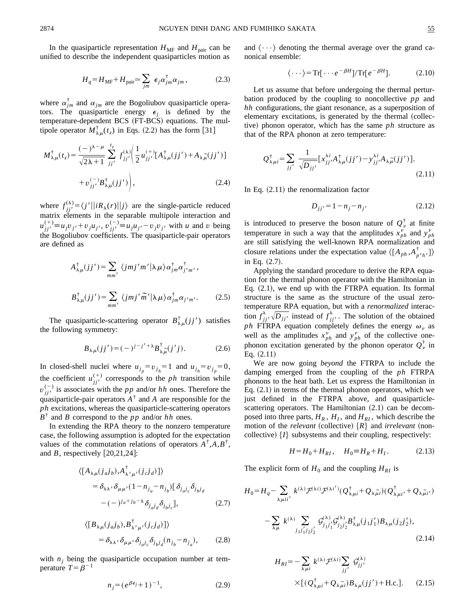In the quasiparticle representation  $H_{\text{MF}}$  and  $H_{\text{pair}}$  can be unified to describe the independent quasiparticles motion as

$$
H_q = H_{\text{MF}} + H_{\text{pair}} \simeq \sum_{jm} \epsilon_j \alpha_{jm}^{\dagger} \alpha_{jm}, \qquad (2.3)
$$

where  $\alpha_{jm}^{\dagger}$  and  $\alpha_{jm}$  are the Bogoliubov quasiparticle operators. The quasiparticle energy  $\epsilon_i$  is defined by the temperature-dependent BCS (FT-BCS) equations. The multipole operator  $M^{\dagger}_{\lambda \mu}(t_z)$  in Eqs. (2.2) has the form [31]

$$
M^{\dagger}_{\lambda\mu}(t_z) = \frac{(-)^{\lambda-\mu}}{\sqrt{2\lambda+1}} \sum_{jj'}^{t_z} f_{jj'}^{(\lambda)} \left( \frac{1}{2} u_{jj'}^{(+)} [A^{\dagger}_{\lambda\mu}(jj') + A_{\lambda\mu}(jj') \right) + v_{jj'}^{(-)} B^{\dagger}_{\lambda\mu}(jj') \right),
$$
\n(2.4)

where  $f_{jj'}^{(\lambda)} = \langle j' || iR_{\lambda}(r) || j \rangle$  are the single-particle reduced matrix elements in the separable multipole interaction and  $u_{j}^{(+)} = u_j v_{j'} + v_j u_{j'}, v_{j'}^{(-)} = u_j u_{j'} - v_j v_{j'}$  with *u* and *v* being the Bogoliubov coefficients. The quasiparticle-pair operators are defined as

$$
A^{\dagger}_{\lambda\mu}(jj') = \sum_{mm'} \langle jmj'm'|\lambda\mu\rangle \alpha^{\dagger}_{jm}\alpha^{\dagger}_{j'm'},
$$
  

$$
B^{\dagger}_{\lambda\mu}(jj') = \sum_{mm'} \langle jmj'\widetilde{m'}|\lambda\mu\rangle \alpha^{\dagger}_{jm}\alpha_{j'm'}.
$$
 (2.5)

The quasiparticle-scattering operator  $B^{\dagger}_{\lambda \mu}(jj')$  satisfies the following symmetry:

$$
B_{\lambda\mu}(jj') = (-1)^{j-j'+\lambda} B_{\lambda\mu}^{\dagger}(j'j). \tag{2.6}
$$

In closed-shell nuclei where  $u_{j_p} = v_{j_h} = 1$  and  $u_{j_h} = v_{j_p} = 0$ , the coefficient  $u_{jj'}^{(+)}$  corresponds to the *ph* transition while  $v_{jj'}^{(-)}$  is associates with the *pp* and/or *hh* ones. Therefore the quasiparticle-pair operators  $A^{\dagger}$  and *A* are responsible for the *ph* excitations, whereas the quasiparticle-scattering operators  $B^{\dagger}$  and *B* correspond to the *pp* and/or *hh* ones.

In extending the RPA theory to the nonzero temperature case, the following assumption is adopted for the expectation values of the commutation relations of operators  $A^{\dagger}, A, B^{\dagger}$ , and *B*, respectively  $[20,21,24]$ :

$$
\langle [A_{\lambda\mu}(j_{a}j_{b}), A_{\lambda'\mu'}^{\dagger}, (j_{c}j_{d})] \rangle
$$
  
=  $\delta_{\lambda\lambda'} \delta_{\mu\mu'} (1 - n_{j_a} - n_{j_b}) [\delta_{j_{a}j_{c}} \delta_{j_{b}j_{d}}$   
-  $(-)^{j_a+j_b-\lambda} \delta_{j_a j_d} \delta_{j_{b}j_{c}}],$  (2.7)

$$
\langle [B_{\lambda\mu}(j_{a}j_{b}), B_{\lambda'\mu'}^{\dagger}(j_{c}j_{d})] \rangle
$$
  
=  $\delta_{\lambda\lambda'} \delta_{\mu\mu'} \delta_{j_{a}j_{c}} \delta_{j_{b}j_{d}}(n_{j_{b}}-n_{j_{a}}),$  (2.8)

with  $n_i$  being the quasiparticle occupation number at temperature  $T=\beta^{-1}$ 

$$
n_j = (e^{\beta \epsilon_j} + 1)^{-1},\tag{2.9}
$$

and  $\langle \cdots \rangle$  denoting the thermal average over the grand canonical ensemble:

$$
\langle \cdots \rangle = \text{Tr}[\cdots e^{-\beta H}]/\text{Tr}[e^{-\beta H}]. \tag{2.10}
$$

Let us assume that before undergoing the thermal perturbation produced by the coupling to noncollective *pp* and *hh* configurations, the giant resonance, as a superposition of elementary excitations, is generated by the thermal  $\alpha$ collective) phonon operator, which has the same *ph* structure as that of the RPA phonon at zero temperature:

$$
Q_{\lambda\mu i}^{\dagger} = \sum_{jj'} \frac{1}{\sqrt{D_{jj'}}} [x_{jj'}^{\lambda i} A_{\lambda\mu}^{\dagger}(jj') - y_{jj'}^{\lambda i} A_{\lambda\mu}^{\dagger}(jj')].
$$
\n(2.11)

In Eq.  $(2.11)$  the renormalization factor

$$
D_{jj'} = 1 - n_j - n_{j'}
$$
 (2.12)

is introduced to preserve the boson nature of  $Q_{\nu}^{\dagger}$  at finite temperature in such a way that the amplitudes  $x_{ph}^{\nu}$  and  $y_{ph}^{\nu}$ are still satisfying the well-known RPA normalization and closure relations under the expectation value  $\langle [A_{ph}, A_{p'h'}^{\dagger}] \rangle$ in Eq.  $(2.7)$ .

Applying the standard procedure to derive the RPA equation for the thermal phonon operator with the Hamiltonian in Eq.  $(2.1)$ , we end up with the FTRPA equation. Its formal structure is the same as the structure of the usual zerotemperature RPA equation, but with a *renormalized* interaction  $f_{jj}^{\lambda}$ ,  $\sqrt{D_{jj'}}$  instead of  $f_{jj}^{\lambda}$ . The solution of the obtained *ph* FTRPA equation completely defines the energy  $\omega_{\nu}$  as well as the amplitudes  $x_{ph}^{\nu}$  and  $y_{ph}^{\nu}$  of the collective onephonon excitation generated by the phonon operator  $Q_{\nu}^{\dagger}$  in Eq.  $(2.11)$ 

We are now going *beyond* the FTRPA to include the damping emerged from the coupling of the *ph* FTRPA phonons to the heat bath. Let us express the Hamiltonian in Eq.  $(2.1)$  in terms of the thermal phonon operators, which we just defined in the FTRPA above, and quasiparticlescattering operators. The Hamiltonian  $(2.1)$  can be decomposed into three parts,  $H_R$ ,  $H_I$ , and  $H_{RI}$ , which describe the motion of the *relevant* (collective)  $\{R\}$  and *irrelevant* (noncollective)  $\{I\}$  subsystems and their coupling, respectively:

$$
H = H_0 + H_{RI}, \quad H_0 = H_R + H_I. \tag{2.13}
$$

The explicit form of  $H_0$  and the coupling  $H_{RI}$  is

$$
H_0 = H_q - \sum_{\lambda \mu i i'} k^{(\lambda)} \mathcal{F}^{(\lambda i)} \mathcal{F}^{(\lambda i')} (Q_{\lambda \mu i}^\dagger + Q_{\lambda \mu i}) (Q_{\lambda \mu i'}^\dagger + Q_{\lambda \mu i'})
$$

$$
- \sum_{\lambda \mu} k^{(\lambda)} \sum_{j_1 j_1' j_2' j_2'} \mathcal{G}^{(\lambda)}_{j_1 j_1'} \mathcal{G}^{(\lambda)}_{j_2 j_2'} B_{\lambda \mu}^\dagger (j_1 j_1') B_{\lambda \mu} (j_2 j_2'), \tag{2.14}
$$

$$
H_{RI} = -\sum_{\lambda \mu i} k^{(\lambda)} \mathcal{F}^{(\lambda i)} \sum_{jj'} \mathcal{G}^{(\lambda)}_{jj'}
$$
  
×[ $(Q^{\dagger}_{\lambda \mu i} + Q_{\lambda \mu i}) B_{\lambda \mu}(jj')$ +H.c.]. (2.15)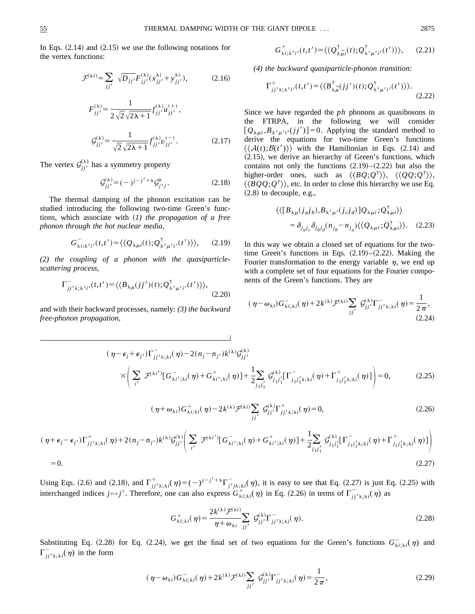In Eqs.  $(2.14)$  and  $(2.15)$  we use the following notations for the vertex functions:

$$
\mathcal{F}^{(\lambda i)} = \sum_{jj'} \sqrt{D_{jj'}} F^{(\lambda)}_{jj'} (x^{\lambda i}_{jj'} + y^{\lambda i}_{jj'}), \qquad (2.16)
$$

$$
F_{jj'}^{(\lambda)} = \frac{1}{2\sqrt{2}\sqrt{2\lambda+1}} f_{jj'}^{(\lambda)} u_{jj'}^{(+)},
$$
  

$$
\mathcal{G}_{jj'}^{(\lambda)} = \frac{1}{\sqrt{2}\sqrt{2\lambda+1}} f_{jj'}^{(\lambda)} v_{jj'}^{(-)}.
$$
 (2.17)

The vertex  $G_{jj'}^{(\lambda)}$  has a symmetry property

$$
\mathcal{G}_{jj'}^{(\lambda)} = (-)^{j-j'+\lambda} \mathcal{G}_{j'j}^{\lambda}.
$$
 (2.18)

The thermal damping of the phonon excitation can be studied introducing the following two-time Green's functions, which associate with ~*1) the propagation of a free phonon through the hot nuclear media,*

$$
G_{\lambda i;\lambda' i'}^-(t,t') = \langle \langle Q_{\lambda\mu i}(t); Q_{\lambda'\mu' i'}^{\dagger}(t') \rangle \rangle, \qquad (2.19)
$$

*(2) the coupling of a phonon with the quasiparticlescattering process,*

$$
\Gamma_{jj'\lambda;\lambda'i'}^-(t,t') = \langle \langle B_{\lambda\mu}(jj')(t); \mathcal{Q}_{\lambda'\mu'i'}^\dagger(t') \rangle \rangle, \tag{2.20}
$$

and with their backward processes, namely: *(3) the backward free-phonon propagation,*

$$
G^{\dagger}_{\lambda i;\lambda' i'}(t,t') = \langle \langle Q^{\dagger}_{\lambda \tilde{\mu} i}(t); Q^{\dagger}_{\lambda' \mu' i'}(t') \rangle \rangle, \qquad (2.21)
$$

*(4) the backward quasiparticle-phonon transition:*

$$
\Gamma^{+}_{jj'\lambda;\lambda'i'}(t,t') = \langle \langle B^{\dagger}_{\lambda\vec{\mu}}(jj')(t); \mathcal{Q}^{\dagger}_{\lambda'\mu'i'}(t') \rangle \rangle. \tag{2.22}
$$

Since we have regarded the *ph* phonons as quasibosons in the FTRPA, in the following we will consider  $[Q_{\lambda\mu i}, B_{\lambda'\mu'i'}(jj')] = 0$ . Applying the standard method to derive the equations for two-time Green's functions  $\langle\langle A(t);B(t')\rangle\rangle$  with the Hamiltonian in Eqs. (2.14) and  $(2.15)$ , we derive an hierarchy of Green's functions, which contains not only the functions  $(2.19)$ – $(2.22)$  but also the higher-order ones, such as  $\langle \langle BQ; Q^{\dagger} \rangle \rangle$ ,  $\langle \langle QQ; Q^{\dagger} \rangle \rangle$ ,  $\langle \langle BQQ; Q^{\dagger} \rangle \rangle$ , etc. In order to close this hierarchy we use Eq.  $(2.8)$  to decouple, e.g.,

$$
\langle \langle [B_{\lambda\mu}(j_{a}j_{b}), B_{\lambda'\mu'}(j_{c}j_{d})]Q_{\lambda\mu i}; Q^{\dagger}_{\lambda\mu i} \rangle \rangle
$$
  
=  $\delta_{j_{a}j_{c}} \delta_{j_{b}j_{d}} (n_{j_{b}} - n_{j_{a}}) \langle \langle Q_{\lambda\mu i}; Q^{\dagger}_{\lambda\mu i} \rangle \rangle$ . (2.23)

In this way we obtain a closed set of equations for the twotime Green's functions in Eqs.  $(2.19)$ – $(2.22)$ . Making the Fourier transformation to the energy variable  $\eta$ , we end up with a complete set of four equations for the Fourier components of the Green's functions. They are

$$
(\eta - \omega_{\lambda i}) G_{\lambda i; \lambda i}^-(\eta) + 2k^{(\lambda)} \mathcal{F}^{(\lambda i)} \sum_{jj'} \mathcal{G}_{jj'}^{(\lambda)} \Gamma_{jj'\lambda; \lambda i}^-(\eta) = \frac{1}{2\pi},
$$
\n(2.24)

$$
(\eta - \epsilon_j + \epsilon_{j'}) \Gamma_{jj'\lambda;\lambda i}^-(\eta) - 2(n_j - n_{j'}) k^{(\lambda)} \mathcal{G}_{jj'}^{(\lambda)}
$$
  
 
$$
\times \left( \sum_{i'} \mathcal{F}^{(\lambda i')} [\,G_{\lambda i';\lambda i}^-(\eta) + G_{\lambda i';\lambda i}^+(\eta)] + \frac{1}{2} \sum_{j_1 j'_1} \mathcal{G}_{j_1 j'_1}^{(\lambda)} [\, \Gamma_{j_1 j'_1 \lambda; \lambda i}^-(\eta) + \Gamma_{j_1 j'_1 \lambda; \lambda i}^+(\eta)] \right) = 0, \tag{2.25}
$$

$$
(\eta + \omega_{\lambda i}) G^{\dagger}_{\lambda i; \lambda i}(\eta) - 2k^{(\lambda)} \mathcal{F}^{(\lambda i)} \sum_{j j'} \mathcal{G}^{(\lambda)}_{j j'} \Gamma^{\dagger}_{j j' \lambda; \lambda i}(\eta) = 0, \qquad (2.26)
$$

$$
(\eta + \epsilon_j - \epsilon_{j'}) \Gamma^+_{jj'\lambda;\lambda i}(\eta) + 2(n_j - n_{j'}) k^{(\lambda)} \mathcal{G}^{(\lambda)}_{jj'} \left( \sum_{i'} \mathcal{F}^{(\lambda i')} [\,G^-_{\lambda i';\lambda i}(\eta) + G^+_{\lambda i';\lambda i}(\eta)] + \frac{1}{2} \sum_{j_1 j'_1} \mathcal{G}^{(\lambda)}_{j_1 j'_1} [\Gamma^-_{j_1 j'_1 \lambda; \lambda i}(\eta) + \Gamma^+_{j_1 j'_1 \lambda; \lambda i}(\eta)] \right)
$$
  
= 0. (2.27)

Using Eqs. (2.6) and (2.18), and  $\Gamma^+_{j_1}{}^i{}_{\lambda}{}^i{}_{\lambda}{}^j{}_{\lambda}$  ( $\eta$ ) = (-)<sup> $j-j'+\lambda \Gamma^-_{j'_j}{}^i{}_{\lambda}{}^i{}_{\lambda}{}^j{}_{\lambda}{}^j{}_{\lambda}{}^j{}_{\lambda}{}^j{}_{\lambda}{}^j{}_{\lambda}{}^j{}_{\lambda}{}^j{}_{\lambda}{}^j{}_{\lambda}{}^j{}_{\lambda}{}^j{}_{\lambda}{}^j{}_{\lambda}{}^j{}_{\lambda}{}^j{}_{\lambda}{}^j{}_{$ interchanged indices  $j \leftrightarrow j'$ . Therefore, one can also express  $G^{\dagger}_{\lambda i;\lambda i}(\eta)$  in Eq. (2.26) in terms of  $\Gamma^{\dagger}_{j j' \lambda; \lambda i}(\eta)$  as

$$
G_{\lambda i;\lambda i}^{+}(\eta) = \frac{2k^{(\lambda)}\mathcal{F}^{(\lambda i)}}{\eta + \omega_{\lambda i}} \sum_{j j'} \mathcal{G}_{j j'}^{(\lambda)} \Gamma_{j j' \lambda; \lambda i}^{-}(\eta). \tag{2.28}
$$

Substituting Eq. (2.28) for Eq. (2.24), we get the final set of two equations for the Green's functions  $G^{\dagger}_{\lambda i;\lambda i}(\eta)$  and  $\Gamma_{jj'\lambda;\lambda i}^-(\eta)$  in the form

$$
(\eta - \omega_{\lambda i}) G_{\lambda i; \lambda i}^-(\eta) + 2k^{(\lambda)} \mathcal{F}^{(\lambda i)} \sum_{jj'} \mathcal{G}_{jj'}^{(\lambda)} \Gamma_{jj'\lambda; \lambda i}^-(\eta) = \frac{1}{2\pi},
$$
\n(2.29)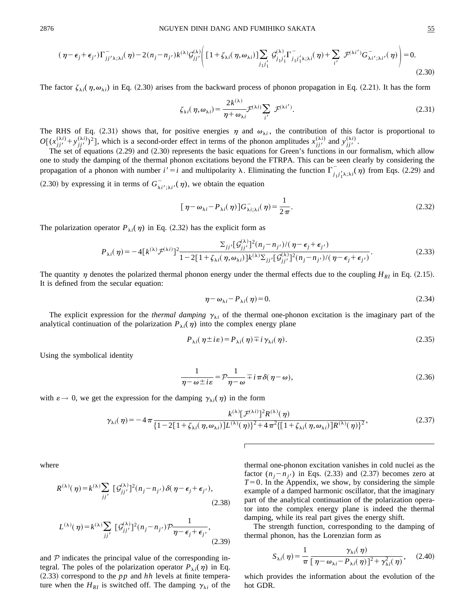$$
(\boldsymbol{\eta} - \boldsymbol{\epsilon}_j + \boldsymbol{\epsilon}_{j'}) \boldsymbol{\Gamma}_{jj'\lambda;\lambda i}^-(\boldsymbol{\eta}) - 2(n_j - n_{j'})k^{(\lambda)}\mathcal{G}_{jj'}^{(\lambda)} \bigg( \big[ 1 + \zeta_{\lambda i}(\boldsymbol{\eta}, \boldsymbol{\omega}_{\lambda i}) \big] \sum_{j_1 j_1'} \mathcal{G}_{j_1 j_1'}^{(\lambda)} \boldsymbol{\Gamma}_{j_1 j_1' \lambda; \lambda i}^-(\boldsymbol{\eta}) + \sum_{i'} \mathcal{F}^{(\lambda i')} G_{\lambda i';\lambda i'}^-(\boldsymbol{\eta}) \bigg) = 0.
$$
\n(2.30)

The factor  $\zeta_{\lambda i}(\eta,\omega_{\lambda i})$  in Eq. (2.30) arises from the backward process of phonon propagation in Eq. (2.21). It has the form

$$
\zeta_{\lambda i}(\eta, \omega_{\lambda i}) = \frac{2k^{(\lambda)}}{\eta + \omega_{\lambda i}} \mathcal{F}^{(\lambda i)} \sum_{i'} \mathcal{F}^{(\lambda i')}.
$$
\n(2.31)

The RHS of Eq. (2.31) shows that, for positive energies  $\eta$  and  $\omega_{\lambda i}$ , the contribution of this factor is proportional to  $O[(x_{jj'}^{(\lambda i)} + y_{jj'}^{(\lambda i)})^2]$ , which is a second-order effect in terms of the phonon amplitudes  $x_{jj'}^{(\lambda i)}$  and  $y_{jj'}^{(\lambda i)}$ .

The set of equations  $(2.29)$  and  $(2.30)$  represents the basic equations for Green's functions in our formalism, which allow one to study the damping of the thermal phonon excitations beyond the FTRPA. This can be seen clearly by considering the propagation of a phonon with number  $i' = i$  and multipolarity  $\lambda$ . Eliminating the function  $\Gamma_{j_1 j'_1 \lambda; \lambda i}^{\dagger}(\eta)$  from Eqs. (2.29) and (2.30) by expressing it in terms of  $G_{\lambda i',\lambda i'}(\eta)$ , we obtain the equation

$$
[\eta - \omega_{\lambda i} - P_{\lambda i}(\eta)]G_{\lambda i;\lambda i}(\eta) = \frac{1}{2\pi}.
$$
\n(2.32)

The polarization operator  $P_{\lambda i}(\eta)$  in Eq. (2.32) has the explicit form as

$$
P_{\lambda i}(\eta) = -4[k^{(\lambda)}\mathcal{F}^{(\lambda i)}]^{2} \frac{\Sigma_{jj'}[\mathcal{G}^{(\lambda)}_{jj'}]^{2}(n_{j}-n_{j'})/(\eta-\epsilon_{j}+\epsilon_{j'})}{1-2[1+\zeta_{\lambda i}(\eta,\omega_{\lambda i})]k^{(\lambda)}\Sigma_{jj'}[\mathcal{G}^{(\lambda)}_{jj'}]^{2}(n_{j}-n_{j'})/(\eta-\epsilon_{j}+\epsilon_{j'})}.
$$
\n(2.33)

The quantity  $\eta$  denotes the polarized thermal phonon energy under the thermal effects due to the coupling  $H_{RI}$  in Eq. (2.15). It is defined from the secular equation:

$$
\eta - \omega_{\lambda i} - P_{\lambda i}(\eta) = 0. \tag{2.34}
$$

The explicit expression for the *thermal damping*  $\gamma_{\lambda i}$  of the thermal one-phonon excitation is the imaginary part of the analytical continuation of the polarization  $P_{\lambda i}(\eta)$  into the complex energy plane

$$
P_{\lambda i}(\eta \pm i\varepsilon) = P_{\lambda i}(\eta) \mp i\gamma_{\lambda i}(\eta). \tag{2.35}
$$

Using the symbolical identity

$$
\frac{1}{\eta - \omega \pm i\varepsilon} = \mathcal{P} \frac{1}{\eta - \omega} \mp i\pi \delta(\eta - \omega),\tag{2.36}
$$

with  $\varepsilon \to 0$ , we get the expression for the damping  $\gamma_{\lambda i}(\eta)$  in the form

$$
\gamma_{\lambda i}(\eta) = -4\pi \frac{k^{(\lambda)} [\mathcal{F}^{(\lambda i)}]^2 R^{(\lambda)}(\eta)}{\{1 - 2[1 + \zeta_{\lambda i}(\eta, \omega_{\lambda i})]L^{(\lambda)}(\eta)\}^2 + 4\pi^2 \{[1 + \zeta_{\lambda i}(\eta, \omega_{\lambda i})]R^{(\lambda)}(\eta)\}^2},
$$
\n(2.37)

where

$$
R^{(\lambda)}(\eta) = k^{(\lambda)} \sum_{jj'} \left[ \mathcal{G}_{jj'}^{(\lambda)} \right]^2 (n_j - n_{j'}) \, \delta(\eta - \epsilon_j + \epsilon_{j'}), \tag{2.38}
$$

$$
L^{(\lambda)}(\eta) = k^{(\lambda)} \sum_{jj'} \left[ \mathcal{G}_{jj'}^{(\lambda)} \right]^2 (n_j - n_{j'}) \mathcal{P} \frac{1}{\eta - \epsilon_j + \epsilon_{j'}},
$$
\n(2.39)

and  $P$  indicates the principal value of the corresponding integral. The poles of the polarization operator  $P_{\lambda i}(\eta)$  in Eq.  $(2.33)$  correspond to the *pp* and *hh* levels at finite temperature when the  $H_{RI}$  is switched off. The damping  $\gamma_{\lambda i}$  of the thermal one-phonon excitation vanishes in cold nuclei as the factor  $(n_j - n_{j'})$  in Eqs. (2.33) and (2.37) becomes zero at  $T=0$ . In the Appendix, we show, by considering the simple example of a damped harmonic oscillator, that the imaginary part of the analytical continuation of the polarization operator into the complex energy plane is indeed the thermal damping, while its real part gives the energy shift.

The strength function, corresponding to the damping of thermal phonon, has the Lorenzian form as

$$
S_{\lambda i}(\eta) = \frac{1}{\pi} \frac{\gamma_{\lambda i}(\eta)}{\left[\eta - \omega_{\lambda i} - P_{\lambda i}(\eta)\right]^2 + \gamma_{\lambda i}^2(\eta)},\quad(2.40)
$$

which provides the information about the evolution of the hot GDR.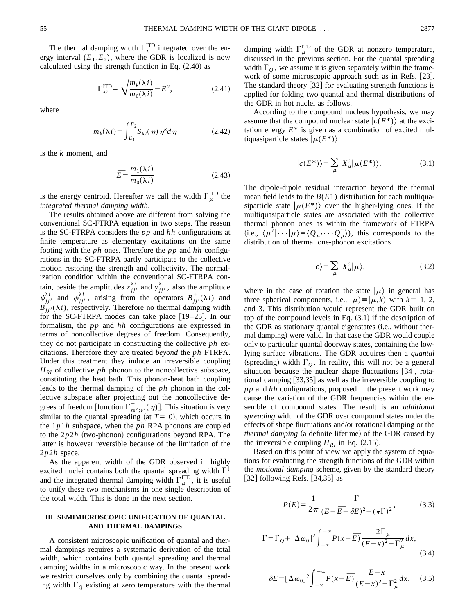The thermal damping width  $\Gamma_{\lambda}^{\text{ITD}}$  integrated over the energy interval  $(E_1, E_2)$ , where the GDR is localized is now calculated using the strength function in Eq.  $(2.40)$  as

$$
\Gamma_{\lambda i}^{\text{ITD}} = \sqrt{\frac{m_k(\lambda i)}{m_0(\lambda i)} - \overline{E}^2},
$$
\n(2.41)

where

$$
m_k(\lambda i) = \int_{E_1}^{E_2} S_{\lambda i}(\eta) \, \eta^k d\eta \tag{2.42}
$$

is the *k* moment, and

$$
\overline{E} = \frac{m_1(\lambda i)}{m_0(\lambda i)}\tag{2.43}
$$

is the energy centroid. Hereafter we call the width  $\Gamma_{\mu}^{\text{ITD}}$  the *integrated thermal damping width*.

The results obtained above are different from solving the conventional SC-FTRPA equation in two steps. The reason is the SC-FTRPA considers the *pp* and *hh* configurations at finite temperature as elementary excitations on the same footing with the *ph* ones. Therefore the *p p* and *hh* configurations in the SC-FTRPA partly participate to the collective motion restoring the strength and collectivity. The normalization condition within the conventional SC-FTRPA contain, beside the amplitudes  $x_{jj'}^{\lambda i}$  and  $y_{jj'}^{\lambda i}$ , also the amplitude  $\psi_{jj'}^{\lambda i}$  and  $\phi_{jj'}^{\lambda i}$ , arising from the operators  $B_{jj'}^+(\lambda i)$  and  $B_{jj'}(\lambda i)$ , respectively. Therefore no thermal damping width for the SC-FTRPA modes can take place  $[19-25]$ . In our formalism, the *pp* and *hh* configurations are expressed in terms of noncollective degrees of freedom. Consequently, they do not participate in constructing the collective *ph* excitations. Therefore they are treated *beyond* the *ph* FTRPA. Under this treatment they induce an irreversible coupling  $H<sub>RI</sub>$  of collective *ph* phonon to the noncollective subspace, constituting the heat bath. This phonon-heat bath coupling leads to the thermal damping of the *ph* phonon in the collective subspace after projecting out the noncollective degrees of freedom [function  $\Gamma_{ss',\nu'}^-(\eta)$ ]. This situation is very similar to the quantal spreading (at  $T=$  0), which occurs in the 1*p*1*h* subspace, when the *ph* RPA phonons are coupled to the  $2p2h$  (two-phonon) configurations beyond RPA. The latter is however reversible because of the limitation of the 2*p*2*h* space.

As the apparent width of the GDR observed in highly excited nuclei contains both the quantal spreading width  $\Gamma^{\downarrow}$ and the integrated thermal damping width  $\Gamma_{\mu}^{\text{ITD}}$ , it is useful to unify these two mechanisms in one single description of the total width. This is done in the next section.

### **III. SEMIMICROSCOPIC UNIFICATION OF QUANTAL AND THERMAL DAMPINGS**

A consistent microscopic unification of quantal and thermal dampings requires a systematic derivation of the total width, which contains both quantal spreading and thermal damping widths in a microscopic way. In the present work we restrict ourselves only by combining the quantal spreading width  $\Gamma_Q$  existing at zero temperature with the thermal

damping width  $\Gamma_{\mu}^{\text{ITD}}$  of the GDR at nonzero temperature, discussed in the previous section. For the quantal spreading width  $\Gamma$ <sub>O</sub>, we assume it is given separately within the framework of some microscopic approach such as in Refs. [23]. The standard theory  $[32]$  for evaluating strength functions is applied for folding two quantal and thermal distributions of the GDR in hot nuclei as follows.

According to the compound nucleus hypothesis, we may assume that the compound nuclear state  $|c(E^*)\rangle$  at the excitation energy  $E^*$  is given as a combination of excited multiquasiparticle states  $|\mu(E^*)\rangle$ 

$$
|c(E^*)\rangle = \sum_{\mu} X_{\mu}^c |\mu(E^*)\rangle.
$$
 (3.1)

The dipole-dipole residual interaction beyond the thermal mean field leads to the  $B(E1)$  distribution for each multiquasiparticle state  $|\mu(E^*)\rangle$  over the higher-lying ones. If the multiquasiparticle states are associated with the collective thermal phonon ones as within the framework of FTRPA (i.e.,  $\langle \mu' | \cdots | \mu \rangle = \langle Q_{\mu'} \cdots Q_{\mu}^{\dagger} \rangle$ ), this corresponds to the distribution of thermal one-phonon excitations

$$
|c\rangle = \sum_{\mu} X_{\mu}^{c} | \mu \rangle, \tag{3.2}
$$

where in the case of rotation the state  $|\mu\rangle$  in general has three spherical components, i.e.,  $|\mu\rangle \equiv |\mu, k\rangle$  with  $k=1, 2,$ and 3. This distribution would represent the GDR built on top of the compound levels in Eq.  $(3.1)$  if the description of the GDR as stationary quantal eigenstates  $(i.e., without$ mal damping) were valid. In that case the GDR would couple only to particular quantal doorway states, containing the lowlying surface vibrations. The GDR acquires then a *quantal* (spreading) width  $\Gamma$ <sub>O</sub>. In reality, this will not be a general situation because the nuclear shape fluctuations  $[34]$ , rotational damping  $[33,35]$  as well as the irreversible coupling to *p p* and *hh* configurations, proposed in the present work may cause the variation of the GDR frequencies within the ensemble of compound states. The result is an *additional spreading* width of the GDR over compound states under the effects of shape fluctuations and/or rotational damping or the *thermal damping* (a definite lifetime) of the GDR caused by the irreversible coupling  $H_{RI}$  in Eq. (2.15).

Based on this point of view we apply the system of equations for evaluating the strength functions of the GDR within the *motional damping* scheme, given by the standard theory [32] following Refs.  $[34,35]$  as

$$
P(E) = \frac{1}{2\pi} \frac{\Gamma}{\left(E - \overline{E} - \delta E\right)^2 + \left(\frac{1}{2}\Gamma\right)^2},\tag{3.3}
$$

$$
\Gamma = \Gamma_Q + [\Delta \omega_0]^2 \int_{-\infty}^{+\infty} P(x+\bar{E}) \frac{2\Gamma_\mu}{(E-x)^2 + \Gamma_\mu^2} dx,
$$
\n(3.4)

$$
\delta E = [\Delta \omega_0]^2 \int_{-\infty}^{+\infty} P(x+\bar{E}) \frac{E-x}{(E-x)^2 + \Gamma_\mu^2} dx. \quad (3.5)
$$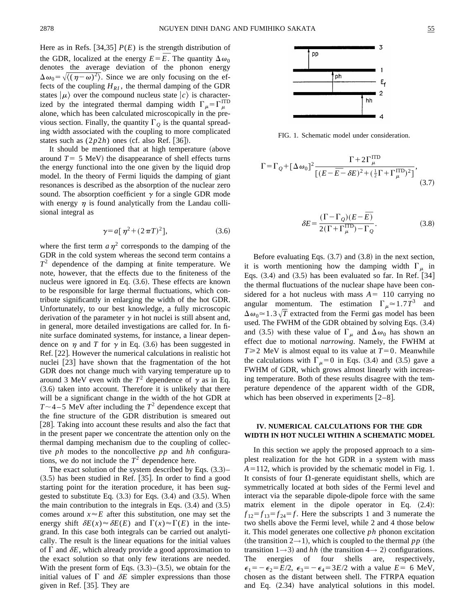Here as in Refs.  $\left[34,35\right]$  *P(E)* is the strength distribution of the GDR, localized at the energy  $E = \overline{E}$ . The quantity  $\Delta \omega_0$ denotes the average deviation of the phonon energy  $\Delta \omega_0 = \sqrt{\langle (\eta - \omega)^2 \rangle}$ . Since we are only focusing on the effects of the coupling  $H_{RI}$ , the thermal damping of the GDR states  $|\mu\rangle$  over the compound nucleus state  $|c\rangle$  is characterized by the integrated thermal damping width  $\Gamma_{\mu} = \Gamma_{\mu}^{\text{ITD}}$ alone, which has been calculated microscopically in the previous section. Finally, the quantity  $\Gamma_Q$  is the quantal spreading width associated with the coupling to more complicated states such as  $(2p2h)$  ones (cf. also Ref. [36]).

It should be mentioned that at high temperature (above around  $T=5$  MeV) the disappearance of shell effects turns the energy functional into the one given by the liquid drop model. In the theory of Fermi liquids the damping of giant resonances is described as the absorption of the nuclear zero sound. The absorption coefficient  $\gamma$  for a single GDR mode with energy  $\eta$  is found analytically from the Landau collisional integral as

$$
\gamma = a[\ \eta^2 + (2\,\pi T)^2],\tag{3.6}
$$

where the first term  $a\eta^2$  corresponds to the damping of the GDR in the cold system whereas the second term contains a *T*<sup>2</sup> dependence of the damping at finite temperature. We note, however, that the effects due to the finiteness of the nucleus were ignored in Eq.  $(3.6)$ . These effects are known to be responsible for large thermal fluctuations, which contribute significantly in enlarging the width of the hot GDR. Unfortunately, to our best knowledge, a fully microscopic derivation of the parameter  $\gamma$  in hot nuclei is still absent and, in general, more detailed investigations are called for. In finite surface dominated systems, for instance, a linear dependence on  $\eta$  and *T* for  $\gamma$  in Eq. (3.6) has been suggested in Ref. [22]. However the numerical calculations in realistic hot nuclei  $[23]$  have shown that the fragmentation of the hot GDR does not change much with varying temperature up to around 3 MeV even with the  $T^2$  dependence of  $\gamma$  as in Eq.  $(3.6)$  taken into account. Therefore it is unlikely that there will be a significant change in the width of the hot GDR at  $T \sim 4-5$  MeV after including the  $T^2$  dependence except that the fine structure of the GDR distribution is smeared out [28]. Taking into account these results and also the fact that in the present paper we concentrate the attention only on the thermal damping mechanism due to the coupling of collective *ph* modes to the noncollective *pp* and *hh* configurations, we do not include the  $T^2$  dependence here.

The exact solution of the system described by Eqs.  $(3.3)$ –  $(3.5)$  has been studied in Ref. [35]. In order to find a good starting point for the iteration procedure, it has been suggested to substitute Eq.  $(3.3)$  for Eqs.  $(3.4)$  and  $(3.5)$ . When the main contribution to the integrals in Eqs.  $(3.4)$  and  $(3.5)$ comes around  $x \approx E$  after this substitution, one may set the energy shift  $\delta E(x) \approx \delta E(E)$  and  $\Gamma(x) \approx \Gamma(E)$  in the integrand. In this case both integrals can be carried out analytically. The result is the linear equations for the initial values of  $\Gamma$  and  $\delta E$ , which already provide a good approximation to the exact solution so that only few iterations are needed. With the present form of Eqs.  $(3.3)$ – $(3.5)$ , we obtain for the initial values of  $\Gamma$  and  $\delta E$  simpler expressions than those given in Ref. [35]. They are



FIG. 1. Schematic model under consideration.

$$
\Gamma = \Gamma_Q + [\Delta \omega_0]^2 \frac{\Gamma + 2\Gamma_{\mu}^{\text{ITD}}}{[(E - \overline{E} - \delta E)^2 + (\frac{1}{2}\Gamma + \Gamma_{\mu}^{\text{ITD}})^2]},
$$
\n(3.7)

$$
\delta E = \frac{(\Gamma - \Gamma_Q)(E - \overline{E})}{2(\Gamma + \Gamma_{\mu}^{\text{ITD}}) - \Gamma_Q}.
$$
\n(3.8)

Before evaluating Eqs.  $(3.7)$  and  $(3.8)$  in the next section, it is worth mentioning how the damping width  $\Gamma_{\mu}$  in Eqs.  $(3.4)$  and  $(3.5)$  has been evaluated so far. In Ref.  $[34]$ the thermal fluctuations of the nuclear shape have been considered for a hot nucleus with mass  $A = 110$  carrying no angular momentum. The estimation  $\Gamma_u \approx 1.7T^3$  and  $\Delta \omega_0$  = 1.3 $\sqrt{T}$  extracted from the Fermi gas model has been used. The FWHM of the GDR obtained by solving Eqs.  $(3.4)$ and (3.5) with these value of  $\Gamma_{\mu}$  and  $\Delta \omega_0$  has shown an effect due to motional *narrowing*. Namely, the FWHM at *T* $\geq$ 2 MeV is almost equal to its value at *T*=0. Meanwhile the calculations with  $\Gamma_{\mu}=0$  in Eqs. (3.4) and (3.5) gave a FWHM of GDR, which grows almost linearly with increasing temperature. Both of these results disagree with the temperature dependence of the apparent width of the GDR, which has been observed in experiments  $[2-8]$ .

# **IV. NUMERICAL CALCULATIONS FOR THE GDR WIDTH IN HOT NUCLEI WITHIN A SCHEMATIC MODEL**

In this section we apply the proposed approach to a simplest realization for the hot GDR in a system with mass  $A=112$ , which is provided by the schematic model in Fig. 1. It consists of four  $\Omega$ -generate equidistant shells, which are symmetrically located at both sides of the Fermi level and interact via the separable dipole-dipole force with the same matrix element in the dipole operator in Eq.  $(2.4)$ :  $f_{12} = f_{13} = f_{24} = f$ . Here the subscripts 1 and 3 numerate the two shells above the Fermi level, while 2 and 4 those below it. This model generates one collective *ph* phonon excitation (the transition  $2\rightarrow 1$ ), which is coupled to the thermal *pp* (the transition  $1 \rightarrow 3$ ) and *hh* (the transition  $4 \rightarrow 2$ ) configurations.<br>The energies of four shells are, respectively, respectively,  $\epsilon_1 = -\epsilon_2 = E/2$ ,  $\epsilon_3 = -\epsilon_4 = 3E/2$  with a value  $E = 6$  MeV, chosen as the distant between shell. The FTRPA equation and Eq.  $(2.34)$  have analytical solutions in this model.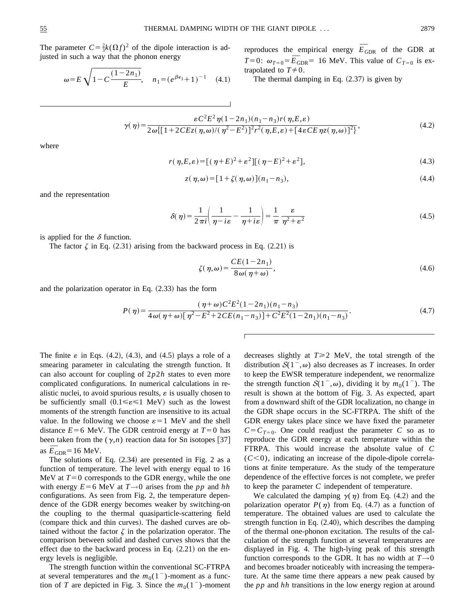The parameter  $C = \frac{2}{3}k(\Omega f)^2$  of the dipole interaction is adjusted in such a way that the phonon energy

$$
\omega = E \sqrt{1 - C \frac{(1 - 2n_1)}{E}}, \quad n_1 = (e^{\beta \epsilon_1} + 1)^{-1} \quad (4.1)
$$

reproduces the empirical energy  $\overline{E}_{\text{GDR}}$  of the GDR at *T*=0:  $\omega_{T=0}$ = $\overline{E}_{GDR}$ = 16 MeV. This value of  $C_{T=0}$  is extrapolated to  $T \neq 0$ .

The thermal damping in Eq.  $(2.37)$  is given by

$$
\gamma(\eta) = \frac{\varepsilon C^2 E^2 \eta (1 - 2n_1)(n_1 - n_3)r(\eta, E, \varepsilon)}{2 \omega \{[1 + 2CEz(\eta, \omega)/(\eta^2 - E^2)]^2 r^2(\eta, E, \varepsilon) + [4\varepsilon CE\eta z(\eta, \omega)]^2\}},
$$
\n(4.2)

where

$$
r(\eta, E, \varepsilon) = [(\eta + E)^2 + \varepsilon^2][(\eta - E)^2 + \varepsilon^2], \qquad (4.3)
$$

$$
z(\eta,\omega) = [1 + \zeta(\eta,\omega)](n_1 - n_3), \qquad (4.4)
$$

and the representation

$$
\delta(\eta) = \frac{1}{2\pi i} \left( \frac{1}{\eta - i\varepsilon} - \frac{1}{\eta + i\varepsilon} \right) = \frac{1}{\pi} \frac{\varepsilon}{\eta^2 + \varepsilon^2}
$$
(4.5)

is applied for the  $\delta$  function.

The factor  $\zeta$  in Eq. (2.31) arising from the backward process in Eq. (2.21) is

$$
\zeta(\eta,\omega) = \frac{CE(1-2n_1)}{8\omega(\eta+\omega)},\tag{4.6}
$$

and the polarization operator in Eq.  $(2.33)$  has the form

$$
P(\eta) = \frac{(\eta + \omega)C^2 E^2 (1 - 2n_1)(n_1 - n_3)}{4\omega(\eta + \omega)\left[\eta^2 - E^2 + 2CE(n_1 - n_3)\right] + C^2 E^2 (1 - 2n_1)(n_1 - n_3)}.
$$
\n(4.7)

The finite  $\varepsilon$  in Eqs. (4.2), (4.3), and (4.5) plays a role of a smearing parameter in calculating the strength function. It can also account for coupling of 2*p*2*h* states to even more complicated configurations. In numerical calculations in realistic nuclei, to avoid spurious results,  $\varepsilon$  is usually chosen to be sufficiently small  $(0.1 \le \epsilon \le 1 \text{ MeV})$  such as the lowest moments of the strength function are insensitive to its actual value. In the following we choose  $\varepsilon = 1$  MeV and the shell distance  $E=6$  MeV. The GDR centroid energy at  $T=0$  has been taken from the  $(\gamma, n)$  reaction data for Sn isotopes [37]  $\overline{E}_{GDR}$  = 16 MeV.

The solutions of Eq.  $(2.34)$  are presented in Fig. 2 as a function of temperature. The level with energy equal to 16 MeV at  $T=0$  corresponds to the GDR energy, while the one with energy  $E=6$  MeV at  $T\rightarrow 0$  arises from the *pp* and *hh* configurations. As seen from Fig. 2, the temperature dependence of the GDR energy becomes weaker by switching-on the coupling to the thermal quasiparticle-scattering field (compare thick and thin curves). The dashed curves are obtained without the factor  $\zeta$  in the polarization operator. The comparison between solid and dashed curves shows that the effect due to the backward process in Eq.  $(2.21)$  on the energy levels is negligible.

The strength function within the conventional SC-FTRPA at several temperatures and the  $m_0(1^-)$ -moment as a function of *T* are depicted in Fig. 3. Since the  $m_0(1^-)$ -moment decreases slightly at  $T \ge 2$  MeV, the total strength of the distribution  $S(1^-, \omega)$  also decreases as *T* increases. In order to keep the EWSR temperature independent, we renormalize the strength function  $S(1^-, \omega)$ , dividing it by  $m_0(1^-)$ . The result is shown at the bottom of Fig. 3. As expected, apart from a downward shift of the GDR localization, no change in the GDR shape occurs in the SC-FTRPA. The shift of the GDR energy takes place since we have fixed the parameter  $C = C_{T=0}$ . One could readjust the parameter *C* so as to reproduce the GDR energy at each temperature within the FTRPA. This would increase the absolute value of *C*  $(C<0)$ , indicating an increase of the dipole-dipole correlations at finite temperature. As the study of the temperature dependence of the effective forces is not complete, we prefer to keep the parameter *C* independent of temperature.

We calculated the damping  $\gamma(\eta)$  from Eq. (4.2) and the polarization operator  $P(\eta)$  from Eq. (4.7) as a function of temperature. The obtained values are used to calculate the strength function in Eq.  $(2.40)$ , which describes the damping of the thermal one-phonon excitation. The results of the calculation of the strength function at several temperatures are displayed in Fig. 4. The high-lying peak of this strength function corresponds to the GDR. It has no width at  $T\rightarrow 0$ and becomes broader noticeably with increasing the temperature. At the same time there appears a new peak caused by the *p p* and *hh* transitions in the low energy region at around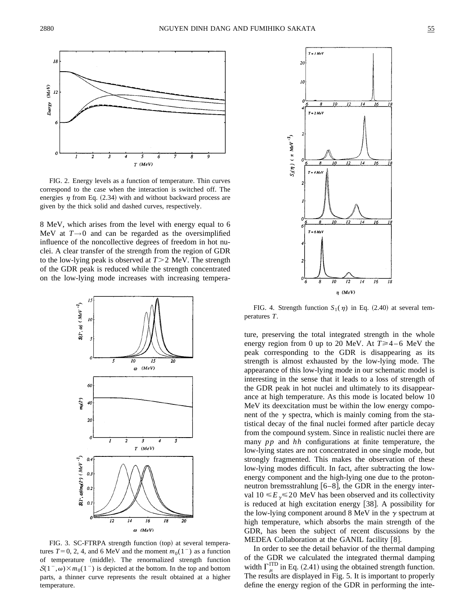

FIG. 2. Energy levels as a function of temperature. Thin curves correspond to the case when the interaction is switched off. The energies  $\eta$  from Eq. (2.34) with and without backward process are given by the thick solid and dashed curves, respectively.

8 MeV, which arises from the level with energy equal to 6 MeV at  $T\rightarrow 0$  and can be regarded as the oversimplified influence of the noncollective degrees of freedom in hot nuclei. A clear transfer of the strength from the region of GDR to the low-lying peak is observed at  $T > 2$  MeV. The strength of the GDR peak is reduced while the strength concentrated on the low-lying mode increases with increasing tempera-



FIG. 3. SC-FTRPA strength function (top) at several temperatures  $T=0, 2, 4$ , and 6 MeV and the moment  $m_0(1)$  as a function of temperature (middle). The renormalized strength function  $S(1^-, \omega) \times m_0(1^-)$  is depicted at the bottom. In the top and bottom parts, a thinner curve represents the result obtained at a higher temperature.



FIG. 4. Strength function  $S_1(\eta)$  in Eq. (2.40) at several temperatures *T*.

ture, preserving the total integrated strength in the whole energy region from 0 up to 20 MeV. At  $T \ge 4-6$  MeV the peak corresponding to the GDR is disappearing as its strength is almost exhausted by the low-lying mode. The appearance of this low-lying mode in our schematic model is interesting in the sense that it leads to a loss of strength of the GDR peak in hot nuclei and ultimately to its disappearance at high temperature. As this mode is located below 10 MeV its deexcitation must be within the low energy component of the  $\gamma$  spectra, which is mainly coming from the statistical decay of the final nuclei formed after particle decay from the compound system. Since in realistic nuclei there are many *pp* and *hh* configurations at finite temperature, the low-lying states are not concentrated in one single mode, but strongly fragmented. This makes the observation of these low-lying modes difficult. In fact, after subtracting the lowenergy component and the high-lying one due to the protonneutron bremsstrahlung  $[6-8]$ , the GDR in the energy interval  $10 \le E_{\gamma} \le 20$  MeV has been observed and its collectivity is reduced at high excitation energy  $[38]$ . A possibility for the low-lying component around 8 MeV in the  $\gamma$  spectrum at high temperature, which absorbs the main strength of the GDR, has been the subject of recent discussions by the MEDEA Collaboration at the GANIL facility  $|8|$ .

In order to see the detail behavior of the thermal damping of the GDR we calculated the integrated thermal damping width  $\Gamma_{\mu}^{\text{ITD}}$  in Eq. (2.41) using the obtained strength function. The results are displayed in Fig. 5. It is important to properly define the energy region of the GDR in performing the inte-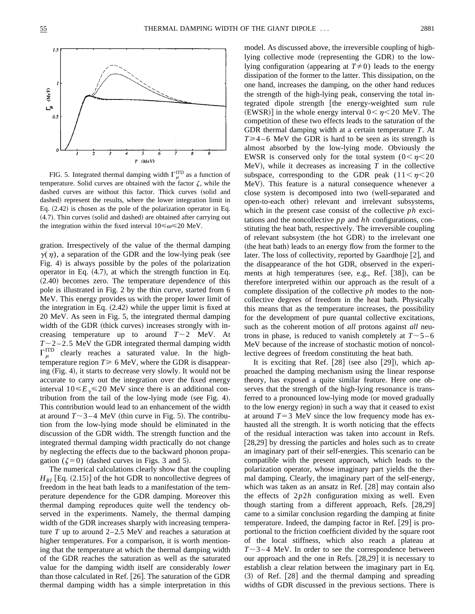

FIG. 5. Integrated thermal damping width  $\Gamma_{\mu}^{\text{ITD}}$  as a function of temperature. Solid curves are obtained with the factor  $\zeta$ , while the dashed curves are without this factor. Thick curves (solid and dashed) represent the results, where the lower integration limit in Eq.  $(2.42)$  is chosen as the pole of the polarization operator in Eq.  $(4.7)$ . Thin curves (solid and dashed) are obtained after carrying out the integration within the fixed interval  $10 \le \omega \le 20$  MeV.

gration. Irrespectively of the value of the thermal damping  $\gamma(\eta)$ , a separation of the GDR and the low-lying peak (see Fig. 4) is always possible by the poles of the polarization operator in Eq.  $(4.7)$ , at which the strength function in Eq.  $(2.40)$  becomes zero. The temperature dependence of this pole is illustrated in Fig. 2 by the thin curve, started from 6 MeV. This energy provides us with the proper lower limit of the integration in Eq.  $(2.42)$  while the upper limit is fixed at 20 MeV. As seen in Fig. 5, the integrated thermal damping width of the GDR (thick curves) increases strongly with increasing temperature up to around  $T \sim 2$  MeV. At  $T \sim$  2–2.5 MeV the GDR integrated thermal damping width  $\Gamma_{\mu}^{\text{ITD}}$  clearly reaches a saturated value. In the hightemperature region  $T \ge 6$  MeV, where the GDR is disappearing (Fig. 4), it starts to decrease very slowly. It would not be accurate to carry out the integration over the fixed energy interval  $10 \le E_{\gamma} \le 20$  MeV since there is an additional contribution from the tail of the low-lying mode (see Fig. 4). This contribution would lead to an enhancement of the width at around  $T \sim 3-4$  MeV (thin curve in Fig. 5). The contribution from the low-lying mode should be eliminated in the discussion of the GDR width. The strength function and the integrated thermal damping width practically do not change by neglecting the effects due to the backward phonon propagation ( $\zeta=0$ ) (dashed curves in Figs. 3 and 5).

The numerical calculations clearly show that the coupling  $H_{BI}$  [Eq.  $(2.15)$ ] of the hot GDR to noncollective degrees of freedom in the heat bath leads to a manifestation of the temperature dependence for the GDR damping. Moreover this thermal damping reproduces quite well the tendency observed in the experiments. Namely, the thermal damping width of the GDR increases sharply with increasing temperature *T* up to around 2–2.5 MeV and reaches a saturation at higher temperatures. For a comparison, it is worth mentioning that the temperature at which the thermal damping width of the GDR reaches the saturation as well as the saturated value for the damping width itself are considerably *lower* than those calculated in Ref.  $[26]$ . The saturation of the GDR thermal damping width has a simple interpretation in this model. As discussed above, the irreversible coupling of highlying collective mode (representing the GDR) to the lowlying configuration (appearing at  $T\neq 0$ ) leads to the energy dissipation of the former to the latter. This dissipation, on the one hand, increases the damping, on the other hand reduces the strength of the high-lying peak, conserving the total integrated dipole strength [the energy-weighted sum rule (EWSR)] in the whole energy interval  $0<\eta<20$  MeV. The competition of these two effects leads to the saturation of the GDR thermal damping width at a certain temperature *T*. At  $T \geq 4-6$  MeV the GDR is hard to be seen as its strength is almost absorbed by the low-lying mode. Obviously the EWSR is conserved only for the total system  $(0<\eta<20)$ MeV), while it decreases as increasing  $T$  in the collective subspace, corresponding to the GDR peak  $(11 \le \eta \le 20)$ MeV). This feature is a natural consequence whenever a close system is decomposed into two (well-separated and open-to-each other) relevant and irrelevant subsystems, which in the present case consist of the collective *ph* excitations and the noncollective *pp* and *hh* configurations, constituting the heat bath, respectively. The irreversible coupling of relevant subsystem (the hot GDR) to the irrelevant one (the heat bath) leads to an energy flow from the former to the later. The loss of collectivity, reported by Gaardhoje  $[2]$ , and the disappearance of the hot GDR, observed in the experiments at high temperatures (see, e.g., Ref.  $[38]$ ), can be therefore interpreted within our approach as the result of a complete dissipation of the collective *ph* modes to the noncollective degrees of freedom in the heat bath. Physically this means that as the temperature increases, the possibility for the development of pure quantal collective excitations, such as the coherent motion of *all* protons against *all* neutrons in phase, is reduced to vanish completely at  $T \sim 5-6$ MeV because of the increase of stochastic motion of noncollective degrees of freedom constituting the heat bath.

It is exciting that Ref.  $[28]$  (see also  $[29]$ ), which approached the damping mechanism using the linear response theory, has exposed a quite similar feature. Here one observes that the strength of the high-lying resonance is transferred to a pronounced low-lying mode (or moved gradually to the low energy region) in such a way that it ceased to exist at around  $T=3$  MeV since the low frequency mode has exhausted all the strength. It is worth noticing that the effects of the residual interaction was taken into account in Refs. [28,29] by dressing the particles and holes such as to create an imaginary part of their self-energies. This scenario can be compatible with the present approach, which leads to the polarization operator, whose imaginary part yields the thermal damping. Clearly, the imaginary part of the self-energy, which was taken as an ansatz in Ref.  $[28]$  may contain also the effects of 2*p*2*h* configuration mixing as well. Even though starting from a different approach, Refs.  $\left[28,29\right]$ came to a similar conclusion regarding the damping at finite temperature. Indeed, the damping factor in Ref.  $[29]$  is proportional to the friction coefficient divided by the square root of the local stiffness, which also reach a plateau at  $T \sim 3-4$  MeV. In order to see the correspondence between our approach and the one in Refs.  $[28,29]$  it is necessary to establish a clear relation between the imaginary part in Eq.  $(3)$  of Ref.  $[28]$  and the thermal damping and spreading widths of GDR discussed in the previous sections. There is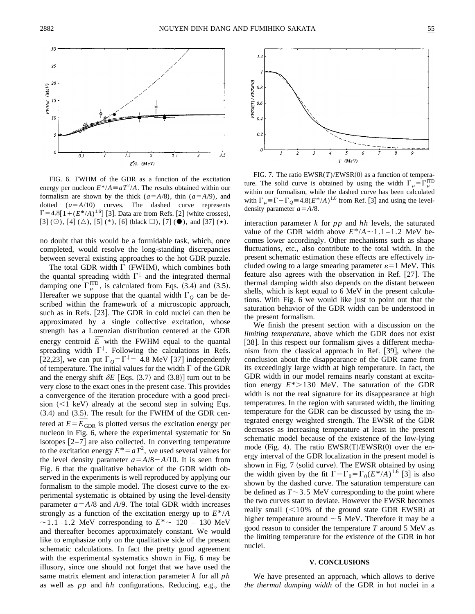

FIG. 6. FWHM of the GDR as a function of the excitation energy per nucleon  $E^*/A \equiv aT^2/A$ . The results obtained within our formalism are shown by the thick  $(a=A/8)$ , thin  $(a=A/9)$ , and dotted  $(a=A/10)$  curves. The dashed curve represents  $\Gamma$  = 4.8[1 +  $(E^*/A)^{1.6}$ ] [3]. Data are from Refs. [2] (white crosses),  $[3]$  ( $\odot$ ),  $[4]$  ( $\triangle$ ),  $[5]$  (\*),  $[6]$  (black  $\Box$ ),  $[7]$  ( $\bullet$ ), and  $[37]$  ( $\star$ ).

no doubt that this would be a formidable task, which, once completed, would resolve the long-standing discrepancies between several existing approaches to the hot GDR puzzle.

The total GDR width  $\Gamma$  (FWHM), which combines both the quantal spreading width  $\Gamma^{\downarrow}$  and the integrated thermal damping one  $\Gamma_{\mu}^{\text{ITD}}$ , is calculated from Eqs. (3.4) and (3.5). Hereafter we suppose that the quantal width  $\Gamma$ <sub>O</sub> can be described within the framework of a microscopic approach, such as in Refs.  $[23]$ . The GDR in cold nuclei can then be approximated by a single collective excitation, whose strength has a Lorenzian distribution centered at the GDR strength has a Lorenzian distribution centered at the GDR<br>energy centroid  $\overline{E}$  with the FWHM equal to the quantal spreading width  $\Gamma^{\downarrow}$ . Following the calculations in Refs. [22,23], we can put  $\Gamma_Q = \Gamma^{\downarrow} = 4.8$  MeV [37] independently of temperature. The initial values for the width  $\Gamma$  of the GDR and the energy shift  $\delta E$  [Eqs.  $(3.7)$  and  $(3.8)$ ] turn out to be very close to the exact ones in the present case. This provides a convergence of the iteration procedure with a good precision  $(<1$  keV) already at the second step in solving Eqs.  $(3.4)$  and  $(3.5)$ . The result for the FWHM of the GDR cen-(5.4) and (5.5). The result for the FWHM of the GDR centered at  $E = \overline{E}_{GDR}$  is plotted versus the excitation energy per nucleon in Fig. 6, where the experimental systematic for Sn isotopes  $[2-7]$  are also collected. In converting temperature to the excitation energy  $E^* = aT^2$ , we used several values for the level density parameter  $a = A/8 - A/10$ . It is seen from Fig. 6 that the qualitative behavior of the GDR width observed in the experiments is well reproduced by applying our formalism to the simple model. The closest curve to the experimental systematic is obtained by using the level-density parameter  $a = A/8$  and  $A/9$ . The total GDR width increases strongly as a function of the excitation energy up to *E*\*/*A*  $\sim$ 1.1–1.2 MeV corresponding to  $E^* \sim 120 - 130$  MeV and thereafter becomes approximately constant. We would like to emphasize only on the qualitative side of the present schematic calculations. In fact the pretty good agreement with the experimental systematics shown in Fig. 6 may be illusory, since one should not forget that we have used the same matrix element and interaction parameter *k* for all *ph* as well as *pp* and *hh* configurations. Reducing, e.g., the



FIG. 7. The ratio  $EWSR(T)/EWSR(0)$  as a function of temperature. The solid curve is obtained by using the width  $\Gamma_{\mu} = \Gamma_{\mu}^{\text{ITD}}$ within our formalism, while the dashed curve has been calculated with  $\Gamma_{\mu} = \Gamma - \Gamma_Q = 4.8(E^*/A)^{1.6}$  from Ref. [3] and using the leveldensity parameter  $a = A/8$ .

interaction parameter  $k$  for  $pp$  and  $hh$  levels, the saturated value of the GDR width above  $E^*/A \sim 1.1 - 1.2$  MeV becomes lower accordingly. Other mechanisms such as shape fluctuations, etc., also contribute to the total width. In the present schematic estimation these effects are effectively included owing to a large smearing parameter  $\varepsilon = 1$  MeV. This feature also agrees with the observation in Ref.  $[27]$ . The thermal damping width also depends on the distant between shells, which is kept equal to 6 MeV in the present calculations. With Fig. 6 we would like just to point out that the saturation behavior of the GDR width can be understood in the present formalism.

We finish the present section with a discussion on the *limiting temperature*, above which the GDR does not exist [38]. In this respect our formalism gives a different mechanism from the classical approach in Ref.  $[39]$ , where the conclusion about the disappearance of the GDR came from its exceedingly large width at high temperature. In fact, the GDR width in our model remains nearly constant at excitation energy  $E^*$  > 130 MeV. The saturation of the GDR width is not the real signature for its disappearance at high temperatures. In the region with saturated width, the limiting temperature for the GDR can be discussed by using the integrated energy weighted strength. The EWSR of the GDR decreases as increasing temperature at least in the present schematic model because of the existence of the low-lying mode (Fig. 4). The ratio  $EWSR(T)/EWSR(0)$  over the energy interval of the GDR localization in the present model is shown in Fig. 7 (solid curve). The EWSR obtained by using the width given by the fit  $\Gamma - \Gamma_0 = \Gamma_0 (E^*/A)^{1.6}$  [3] is also shown by the dashed curve. The saturation temperature can be defined as  $T \sim 3.5$  MeV corresponding to the point where the two curves start to deviate. However the EWSR becomes really small  $(<10\%$  of the ground state GDR EWSR) at higher temperature around  $\sim$  5 MeV. Therefore it may be a good reason to consider the temperature *T* around 5 MeV as the limiting temperature for the existence of the GDR in hot nuclei.

#### **V. CONCLUSIONS**

We have presented an approach, which allows to derive *the thermal damping width* of the GDR in hot nuclei in a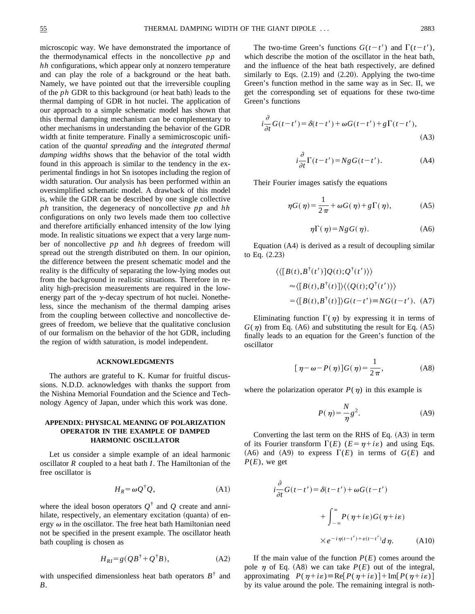microscopic way. We have demonstrated the importance of the thermodynamical effects in the noncollective *pp* and *hh* configurations, which appear only at nonzero temperature and can play the role of a background or the heat bath. Namely, we have pointed out that the irreversible coupling of the *ph* GDR to this background (or heat bath) leads to the thermal damping of GDR in hot nuclei. The application of our approach to a simple schematic model has shown that this thermal damping mechanism can be complementary to other mechanisms in understanding the behavior of the GDR width at finite temperature. Finally a semimicroscopic unification of the *quantal spreading* and the *integrated thermal damping widths* shows that the behavior of the total width found in this approach is similar to the tendency in the experimental findings in hot Sn isotopes including the region of width saturation. Our analysis has been performed within an oversimplified schematic model. A drawback of this model is, while the GDR can be described by one single collective *ph* transition, the degeneracy of noncollective *p p* and *hh* configurations on only two levels made them too collective and therefore artificially enhanced intensity of the low lying mode. In realistic situations we expect that a very large number of noncollective *pp* and *hh* degrees of freedom will spread out the strength distributed on them. In our opinion, the difference between the present schematic model and the reality is the difficulty of separating the low-lying modes out from the background in realistic situations. Therefore in reality high-precision measurements are required in the lowenergy part of the  $\gamma$ -decay spectrum of hot nuclei. Nonetheless, since the mechanism of the thermal damping arises from the coupling between collective and noncollective degrees of freedom, we believe that the qualitative conclusion of our formalism on the behavior of the hot GDR, including the region of width saturation, is model independent.

#### **ACKNOWLEDGMENTS**

The authors are grateful to K. Kumar for fruitful discussions. N.D.D. acknowledges with thanks the support from the Nishina Memorial Foundation and the Science and Technology Agency of Japan, under which this work was done.

### **APPENDIX: PHYSICAL MEANING OF POLARIZATION OPERATOR IN THE EXAMPLE OF DAMPED HARMONIC OSCILLATOR**

Let us consider a simple example of an ideal harmonic oscillator *R* coupled to a heat bath *I*. The Hamiltonian of the free oscillator is

$$
H_R = \omega Q^{\dagger} Q, \tag{A1}
$$

where the ideal boson operators  $Q^{\dagger}$  and *Q* create and annihilate, respectively, an elementary excitation (quanta) of energy  $\omega$  in the oscillator. The free heat bath Hamiltonian need not be specified in the present example. The oscillator heath bath coupling is chosen as

$$
H_{RI} = g(QB^{\dagger} + Q^{\dagger}B), \tag{A2}
$$

with unspecified dimensionless heat bath operators  $B^{\dagger}$  and *B*.

The two-time Green's functions  $G(t-t')$  and  $\Gamma(t-t')$ , which describe the motion of the oscillator in the heat bath, and the influence of the heat bath respectively, are defined similarly to Eqs.  $(2.19)$  and  $(2.20)$ . Applying the two-time Green's function method in the same way as in Sec. II, we get the corresponding set of equations for these two-time Green's functions

$$
i\frac{\partial}{\partial t}G(t-t') = \delta(t-t') + \omega G(t-t') + g\Gamma(t-t'),
$$
\n(A3)

$$
i\frac{\partial}{\partial t}\Gamma(t-t') = NgG(t-t').
$$
 (A4)

Their Fourier images satisfy the equations

$$
\eta G(\eta) = \frac{1}{2\pi} + \omega G(\eta) + g\Gamma(\eta),
$$
 (A5)

$$
\eta \Gamma(\eta) = Ng G(\eta). \tag{A6}
$$

Equation  $(A4)$  is derived as a result of decoupling similar to Eq.  $(2.23)$ 

$$
\langle \langle [B(t), B^{\dagger}(t')]Q(t); Q^{\dagger}(t') \rangle \rangle
$$
  
\n
$$
\approx \langle [B(t), B^{\dagger}(t)] \rangle \langle \langle Q(t); Q^{\dagger}(t') \rangle \rangle
$$
  
\n
$$
= \langle [B(t), B^{\dagger}(t)] \rangle G(t-t') \equiv NG(t-t').
$$
 (A7)

Eliminating function  $\Gamma(\eta)$  by expressing it in terms of  $G(\eta)$  from Eq. (A6) and substituting the result for Eq. (A5) finally leads to an equation for the Green's function of the oscillator

$$
[\eta - \omega - P(\eta)]G(\eta) = \frac{1}{2\pi},
$$
 (A8)

where the polarization operator  $P(\eta)$  in this example is

$$
P(\eta) = \frac{N}{\eta}g^2.
$$
 (A9)

Converting the last term on the RHS of Eq.  $(A3)$  in term of its Fourier transform  $\Gamma(E)$  ( $E = \eta + i\varepsilon$ ) and using Eqs. (A6) and (A9) to express  $\Gamma(E)$  in terms of  $G(E)$  and  $P(E)$ , we get

$$
i\frac{\partial}{\partial t}G(t-t') = \delta(t-t') + \omega G(t-t')
$$

$$
+ \int_{-\infty}^{\infty} P(\eta + i\varepsilon)G(\eta + i\varepsilon)
$$

$$
\times e^{-i\eta(t-t') + \varepsilon(t-t')}d\eta.
$$
(A10)

If the main value of the function  $P(E)$  comes around the pole  $\eta$  of Eq. (A8) we can take  $P(E)$  out of the integral, approximating  $P(\eta + i\varepsilon) \equiv \text{Re}[P(\eta + i\varepsilon)] + \text{Im}[P(\eta + i\varepsilon)]$ by its value around the pole. The remaining integral is noth